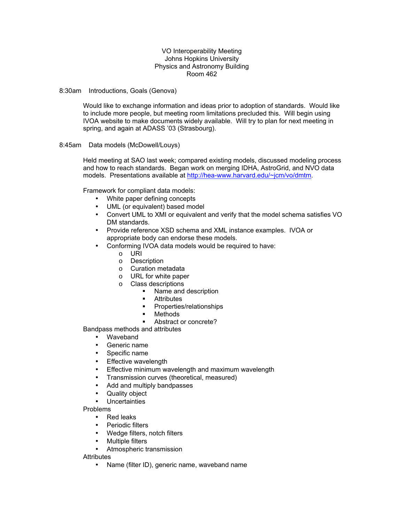## VO Interoperability Meeting Johns Hopkins University Physics and Astronomy Building Room 462

8:30am Introductions, Goals (Genova)

Would like to exchange information and ideas prior to adoption of standards. Would like to include more people, but meeting room limitations precluded this. Will begin using IVOA website to make documents widely available. Will try to plan for next meeting in spring, and again at ADASS '03 (Strasbourg).

8:45am Data models (McDowell/Louys)

Held meeting at SAO last week; compared existing models, discussed modeling process and how to reach standards. Began work on merging IDHA, AstroGrid, and NVO data models. Presentations available at [http://hea-www.harvard.edu/~jcm/vo/dmtm.](http://hea-www.harvard.edu/~jcm/vo/dmtm)

Framework for compliant data models:

- White paper defining concepts
- UML (or equivalent) based model
- Convert UML to XMI or equivalent and verify that the model schema satisfies VO DM standards.
- Provide reference XSD schema and XML instance examples. IVOA or appropriate body can endorse these models.
- Conforming IVOA data models would be required to have:
	- o URI
	- o Description
	- o Curation metadata
	- o URL for white paper
	- o Class descriptions
		- Name and description
		- **Attributes**
		- **•** Properties/relationships
		- **•** Methods
		- Abstract or concrete?

Bandpass methods and attributes

- Waveband
- Generic name
- Specific name
- Effective wavelength
- Effective minimum wavelength and maximum wavelength
- Transmission curves (theoretical, measured)
- Add and multiply bandpasses
- Quality object
- **Uncertainties**

Problems

- Red leaks
- Periodic filters
- Wedge filters, notch filters
- Multiple filters
- Atmospheric transmission

**Attributes** 

• Name (filter ID), generic name, waveband name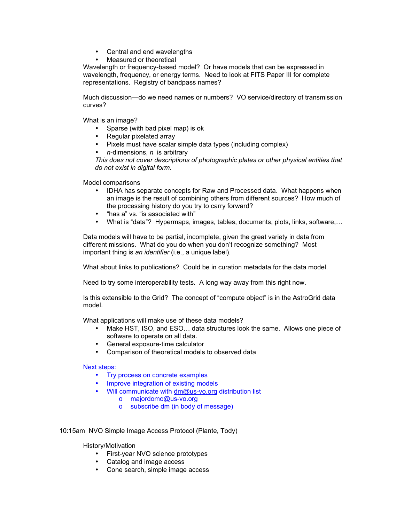- Central and end wavelengths
- Measured or theoretical

Wavelength or frequency-based model? Or have models that can be expressed in wavelength, frequency, or energy terms. Need to look at FITS Paper III for complete representations. Registry of bandpass names?

Much discussion—do we need names or numbers? VO service/directory of transmission curves?

What is an image?

- Sparse (with bad pixel map) is ok
- Regular pixelated array
- Pixels must have scalar simple data types (including complex)
- *n*-dimensions, *n* is arbitrary

*This does not cover descriptions of photographic plates or other physical entities that do not exist in digital form.* 

Model comparisons

- IDHA has separate concepts for Raw and Processed data. What happens when an image is the result of combining others from different sources? How much of the processing history do you try to carry forward?
- "has a" vs. "is associated with"
- What is "data"? Hypermaps, images, tables, documents, plots, links, software,…

Data models will have to be partial, incomplete, given the great variety in data from different missions. What do you do when you don't recognize something? Most important thing is *an identifier* (i.e., a unique label).

What about links to publications? Could be in curation metadata for the data model.

Need to try some interoperability tests. A long way away from this right now.

Is this extensible to the Grid? The concept of "compute object" is in the AstroGrid data model.

What applications will make use of these data models?

- Make HST, ISO, and ESO... data structures look the same. Allows one piece of software to operate on all data.
- General exposure-time calculator
- Comparison of theoretical models to observed data

Next steps:

- Try process on concrete examples
- Improve integration of existing models
- Will communicate with [dm@us-vo.org](mailto:dm@us-vo.org) distribution list
	- o [majordomo@us-vo.org](mailto:majordomo@us-vo.org)
	- o subscribe dm (in body of message)

10:15am NVO Simple Image Access Protocol (Plante, Tody)

History/Motivation

- First-year NVO science prototypes
- Catalog and image access
- Cone search, simple image access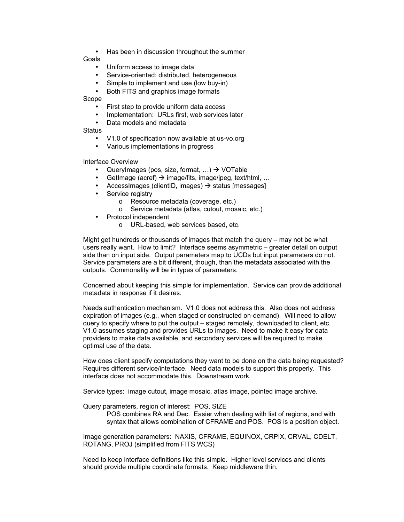• Has been in discussion throughout the summer

Goals

- Uniform access to image data
- Service-oriented: distributed, heterogeneous
- Simple to implement and use (low buy-in)
- Both FITS and graphics image formats

Scope

- First step to provide uniform data access
- Implementation: URLs first, web services later
- Data models and metadata

**Status** 

- V1.0 of specification now available at us-vo.org
- Various implementations in progress

Interface Overview

- QueryImages (pos, size, format, ...)  $\rightarrow$  VOTable
- GetImage (acref)  $\rightarrow$  image/fits, image/jpeg, text/html, ...
- Accessimages (clientID, images)  $\rightarrow$  status [messages]
- Service registry
	- o Resource metadata (coverage, etc.)
	- o Service metadata (atlas, cutout, mosaic, etc.)
- Protocol independent
	- o URL-based, web services based, etc.

Might get hundreds or thousands of images that match the query – may not be what users really want. How to limit? Interface seems asymmetric – greater detail on output side than on input side. Output parameters map to UCDs but input parameters do not. Service parameters are a bit different, though, than the metadata associated with the outputs. Commonality will be in types of parameters.

Concerned about keeping this simple for implementation. Service can provide additional metadata in response if it desires.

Needs authentication mechanism. V1.0 does not address this. Also does not address expiration of images (e.g., when staged or constructed on-demand). Will need to allow query to specify where to put the output – staged remotely, downloaded to client, etc. V1.0 assumes staging and provides URLs to images. Need to make it easy for data providers to make data available, and secondary services will be required to make optimal use of the data.

How does client specify computations they want to be done on the data being requested? Requires different service/interface. Need data models to support this properly. This interface does not accommodate this. Downstream work.

Service types: image cutout, image mosaic, atlas image, pointed image archive.

Query parameters, region of interest: POS, SIZE

POS combines RA and Dec. Easier when dealing with list of regions, and with syntax that allows combination of CFRAME and POS. POS is a position object.

Image generation parameters: NAXIS, CFRAME, EQUINOX, CRPIX, CRVAL, CDELT, ROTANG, PROJ (simplified from FITS WCS)

Need to keep interface definitions like this simple. Higher level services and clients should provide multiple coordinate formats. Keep middleware thin.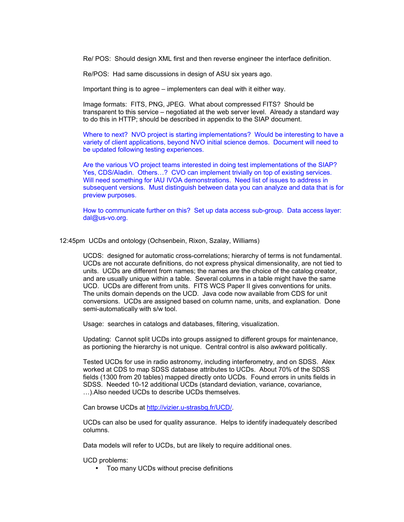Re/ POS: Should design XML first and then reverse engineer the interface definition.

Re/POS: Had same discussions in design of ASU six years ago.

Important thing is to agree – implementers can deal with it either way.

Image formats: FITS, PNG, JPEG. What about compressed FITS? Should be transparent to this service – negotiated at the web server level. Already a standard way to do this in HTTP; should be described in appendix to the SIAP document.

Where to next? NVO project is starting implementations? Would be interesting to have a variety of client applications, beyond NVO initial science demos. Document will need to be updated following testing experiences.

Are the various VO project teams interested in doing test implementations of the SIAP? Yes, CDS/Aladin. Others...? CVO can implement trivially on top of existing services. Will need something for IAU IVOA demonstrations. Need list of issues to address in subsequent versions. Must distinguish between data you can analyze and data that is for preview purposes.

How to communicate further on this? Set up data access sub-group. Data access layer: dal@us-vo.org.

12:45pm UCDs and ontology (Ochsenbein, Rixon, Szalay, Williams)

UCDS: designed for automatic cross-correlations; hierarchy of terms is not fundamental. UCDs are not accurate definitions, do not express physical dimensionality, are not tied to units. UCDs are different from names; the names are the choice of the catalog creator, and are usually unique within a table. Several columns in a table might have the same UCD. UCDs are different from units. FITS WCS Paper II gives conventions for units. The units domain depends on the UCD. Java code now available from CDS for unit conversions. UCDs are assigned based on column name, units, and explanation. Done semi-automatically with s/w tool.

Usage: searches in catalogs and databases, filtering, visualization.

Updating: Cannot split UCDs into groups assigned to different groups for maintenance, as portioning the hierarchy is not unique. Central control is also awkward politically.

Tested UCDs for use in radio astronomy, including interferometry, and on SDSS. Alex worked at CDS to map SDSS database attributes to UCDs. About 70% of the SDSS fields (1300 from 20 tables) mapped directly onto UCDs. Found errors in units fields in SDSS. Needed 10-12 additional UCDs (standard deviation, variance, covariance, …).Also needed UCDs to describe UCDs themselves.

Can browse UCDs at [http://vizier.u-strasbg.fr/UCD/.](http://vizier.u-strasbg.fr/UCD/)

UCDs can also be used for quality assurance. Helps to identify inadequately described columns.

Data models will refer to UCDs, but are likely to require additional ones.

UCD problems:

• Too many UCDs without precise definitions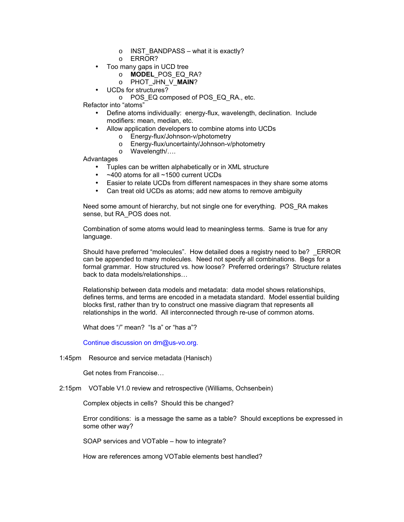- $\circ$  INST BANDPASS what it is exactly?
- o ERROR?
- Too many gaps in UCD tree
	- o **MODEL**\_POS\_EQ\_RA?
	- o PHOT\_JHN\_V\_**MAIN**?
	- UCDs for structures?
		- o POS\_EQ composed of POS\_EQ\_RA., etc.

Refactor into "atoms"

- Define atoms individually: energy-flux, wavelength, declination. Include modifiers: mean, median, etc.
- Allow application developers to combine atoms into UCDs
	- o Energy-flux/Johnson-v/photometry
	- o Energy-flux/uncertainty/Johnson-v/photometry
	- o Wavelength/….

Advantages

- Tuples can be written alphabetically or in XML structure
- ~400 atoms for all ~1500 current UCDs
- Easier to relate UCDs from different namespaces in they share some atoms
- Can treat old UCDs as atoms; add new atoms to remove ambiguity

Need some amount of hierarchy, but not single one for everything. POS\_RA makes sense, but RA\_POS does not.

Combination of some atoms would lead to meaningless terms. Same is true for any language.

Should have preferred "molecules". How detailed does a registry need to be? ERROR can be appended to many molecules. Need not specify all combinations. Begs for a formal grammar. How structured vs. how loose? Preferred orderings? Structure relates back to data models/relationships…

Relationship between data models and metadata: data model shows relationships, defines terms, and terms are encoded in a metadata standard. Model essential building blocks first, rather than try to construct one massive diagram that represents all relationships in the world. All interconnected through re-use of common atoms.

What does "/" mean? "Is a" or "has a"?

Continue discussion on dm@us-vo.org.

1:45pm Resource and service metadata (Hanisch)

Get notes from Francoise…

2:15pm VOTable V1.0 review and retrospective (Williams, Ochsenbein)

Complex objects in cells? Should this be changed?

Error conditions: is a message the same as a table? Should exceptions be expressed in some other way?

SOAP services and VOTable – how to integrate?

How are references among VOTable elements best handled?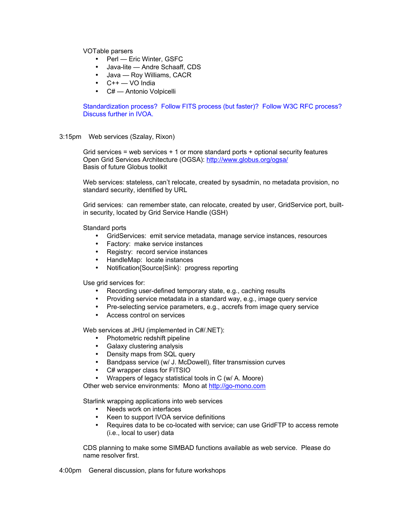VOTable parsers

- Perl Eric Winter, GSFC
- Java-lite Andre Schaaff, CDS
- Java Roy Williams, CACR
- $\bullet$   $C++$   $\sim$  VO India
- C# Antonio Volpicelli

Standardization process? Follow FITS process (but faster)? Follow W3C RFC process? Discuss further in IVOA.

3:15pm Web services (Szalay, Rixon)

Grid services = web services + 1 or more standard ports + optional security features Open Grid Services Architecture (OGSA):<http://www.globus.org/ogsa/> Basis of future Globus toolkit

Web services: stateless, can't relocate, created by sysadmin, no metadata provision, no standard security, identified by URL

Grid services: can remember state, can relocate, created by user, GridService port, builtin security, located by Grid Service Handle (GSH)

Standard ports

- GridServices: emit service metadata, manage service instances, resources
- Factory: make service instances
- Registry: record service instances
- HandleMap: locate instances
- Notification{Source|Sink}: progress reporting

Use grid services for:

- Recording user-defined temporary state, e.g., caching results
- Providing service metadata in a standard way, e.g., image query service
- Pre-selecting service parameters, e.g., accrefs from image query service
- Access control on services

Web services at JHU (implemented in C#/.NET):

- Photometric redshift pipeline
- Galaxy clustering analysis
- Density maps from SQL query
- Bandpass service (w/ J. McDowell), filter transmission curves
- C# wrapper class for FITSIO
- Wrappers of legacy statistical tools in C (w/ A. Moore)

Other web service environments: Mono at [http://go-mono.com](http://go-mono.com/)

Starlink wrapping applications into web services

- Needs work on interfaces
- Keen to support IVOA service definitions
- Requires data to be co-located with service; can use GridFTP to access remote (i.e., local to user) data

CDS planning to make some SIMBAD functions available as web service. Please do name resolver first.

4:00pm General discussion, plans for future workshops